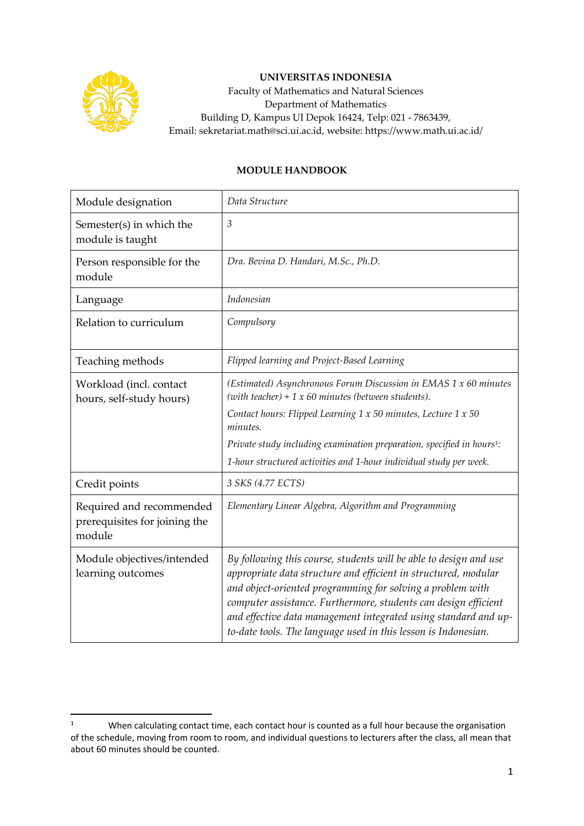

## **UNIVERSITAS INDONESIA**

Faculty of Mathematics and Natural Sciences Department of Mathematics Building D, Kampus UI Depok 16424, Telp: 021 - 7863439, Email: sekretariat.math@sci.ui.ac.id, website: https://www.math.ui.ac.id/

## **MODULE HANDBOOK**

| Module designation                                                  | Data Structure                                                                                                                                                                                                                                                                                                                                                                                             |
|---------------------------------------------------------------------|------------------------------------------------------------------------------------------------------------------------------------------------------------------------------------------------------------------------------------------------------------------------------------------------------------------------------------------------------------------------------------------------------------|
| Semester(s) in which the<br>module is taught                        | $\mathfrak{Z}$                                                                                                                                                                                                                                                                                                                                                                                             |
| Person responsible for the<br>module                                | Dra. Bevina D. Handari, M.Sc., Ph.D.                                                                                                                                                                                                                                                                                                                                                                       |
| Language                                                            | <i>Indonesian</i>                                                                                                                                                                                                                                                                                                                                                                                          |
| Relation to curriculum                                              | Compulsory                                                                                                                                                                                                                                                                                                                                                                                                 |
| Teaching methods                                                    | Flipped learning and Project-Based Learning                                                                                                                                                                                                                                                                                                                                                                |
| Workload (incl. contact<br>hours, self-study hours)                 | (Estimated) Asynchronous Forum Discussion in EMAS 1 x 60 minutes<br>(with teacher) + $1 x 60$ minutes (between students).<br>Contact hours: Flipped Learning 1 x 50 minutes, Lecture 1 x 50<br>minutes.                                                                                                                                                                                                    |
|                                                                     | Private study including examination preparation, specified in hours <sup>1</sup> :                                                                                                                                                                                                                                                                                                                         |
|                                                                     | 1-hour structured activities and 1-hour individual study per week.                                                                                                                                                                                                                                                                                                                                         |
| Credit points                                                       | 3 SKS (4.77 ECTS)                                                                                                                                                                                                                                                                                                                                                                                          |
| Required and recommended<br>prerequisites for joining the<br>module | Elementary Linear Algebra, Algorithm and Programming                                                                                                                                                                                                                                                                                                                                                       |
| Module objectives/intended<br>learning outcomes                     | By following this course, students will be able to design and use<br>appropriate data structure and efficient in structured, modular<br>and object-oriented programming for solving a problem with<br>computer assistance. Furthermore, students can design efficient<br>and effective data management integrated using standard and up-<br>to-date tools. The language used in this lesson is Indonesian. |

<sup>&</sup>lt;sup>1</sup> When calculating contact time, each contact hour is counted as a full hour because the organisation of the schedule, moving from room to room, and individual questions to lecturers after the class, all mean that about 60 minutes should be counted.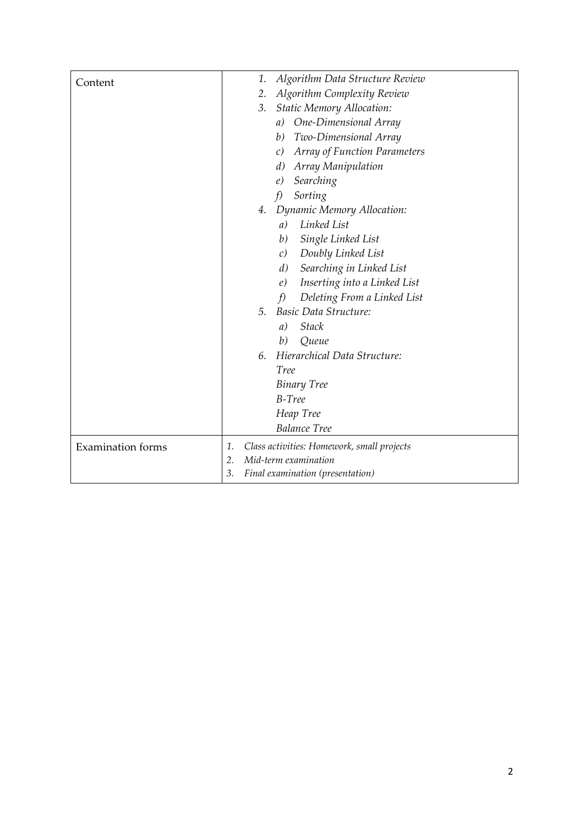| Content                  | Algorithm Data Structure Review<br>1.            |
|--------------------------|--------------------------------------------------|
|                          | Algorithm Complexity Review<br>2.                |
|                          | <b>Static Memory Allocation:</b><br>3.           |
|                          | a) One-Dimensional Array                         |
|                          | Two-Dimensional Array<br>b)                      |
|                          | Array of Function Parameters<br>$\mathcal{C}$    |
|                          | Array Manipulation<br>d)                         |
|                          | Searching<br>e)                                  |
|                          | Sorting<br>f                                     |
|                          | Dynamic Memory Allocation:<br>4.                 |
|                          | Linked List<br>a)                                |
|                          | Single Linked List<br>b)                         |
|                          | Doubly Linked List<br>c)                         |
|                          | Searching in Linked List<br>d)                   |
|                          | Inserting into a Linked List<br>e)               |
|                          | Deleting From a Linked List<br>f                 |
|                          | Basic Data Structure:<br>5 <sub>1</sub>          |
|                          | <b>Stack</b><br>a)                               |
|                          | b)<br>Queue                                      |
|                          | Hierarchical Data Structure:<br>6.               |
|                          | <b>Tree</b>                                      |
|                          | <b>Binary Tree</b>                               |
|                          | $B-Tree$                                         |
|                          | Heap Tree                                        |
|                          | <b>Balance Tree</b>                              |
| <b>Examination</b> forms | Class activities: Homework, small projects<br>1. |
|                          | Mid-term examination<br>2.                       |
|                          | 3.<br>Final examination (presentation)           |